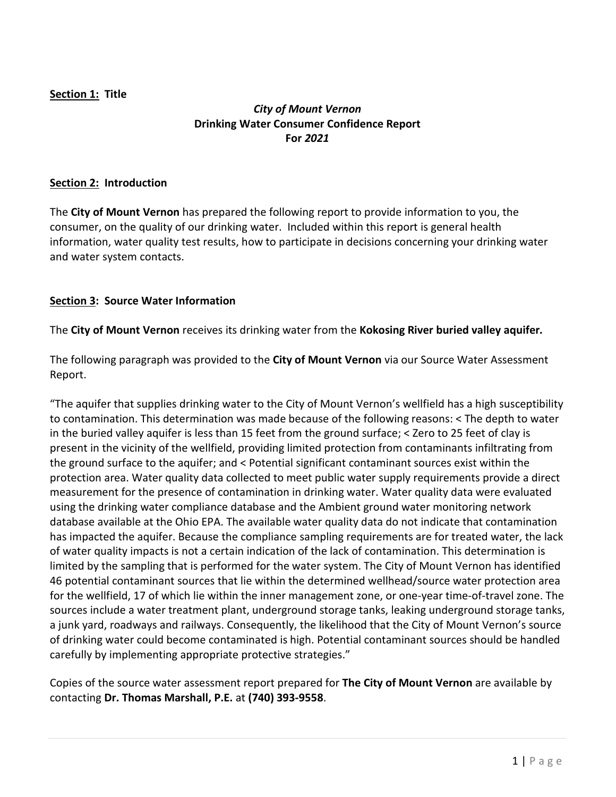## **Section 1: Title**

# *City of Mount Vernon* **Drinking Water Consumer Confidence Report For** *2021*

### **Section 2: Introduction**

The **City of Mount Vernon** has prepared the following report to provide information to you, the consumer, on the quality of our drinking water. Included within this report is general health information, water quality test results, how to participate in decisions concerning your drinking water and water system contacts.

### **Section 3: Source Water Information**

The **City of Mount Vernon** receives its drinking water from the **Kokosing River buried valley aquifer***.*

The following paragraph was provided to the **City of Mount Vernon** via our Source Water Assessment Report.

"The aquifer that supplies drinking water to the City of Mount Vernon's wellfield has a high susceptibility to contamination. This determination was made because of the following reasons: < The depth to water in the buried valley aquifer is less than 15 feet from the ground surface; < Zero to 25 feet of clay is present in the vicinity of the wellfield, providing limited protection from contaminants infiltrating from the ground surface to the aquifer; and < Potential significant contaminant sources exist within the protection area. Water quality data collected to meet public water supply requirements provide a direct measurement for the presence of contamination in drinking water. Water quality data were evaluated using the drinking water compliance database and the Ambient ground water monitoring network database available at the Ohio EPA. The available water quality data do not indicate that contamination has impacted the aquifer. Because the compliance sampling requirements are for treated water, the lack of water quality impacts is not a certain indication of the lack of contamination. This determination is limited by the sampling that is performed for the water system. The City of Mount Vernon has identified 46 potential contaminant sources that lie within the determined wellhead/source water protection area for the wellfield, 17 of which lie within the inner management zone, or one-year time-of-travel zone. The sources include a water treatment plant, underground storage tanks, leaking underground storage tanks, a junk yard, roadways and railways. Consequently, the likelihood that the City of Mount Vernon's source of drinking water could become contaminated is high. Potential contaminant sources should be handled carefully by implementing appropriate protective strategies."

Copies of the source water assessment report prepared for **The City of Mount Vernon** are available by contacting **Dr. Thomas Marshall, P.E.** at **(740) 393-9558**.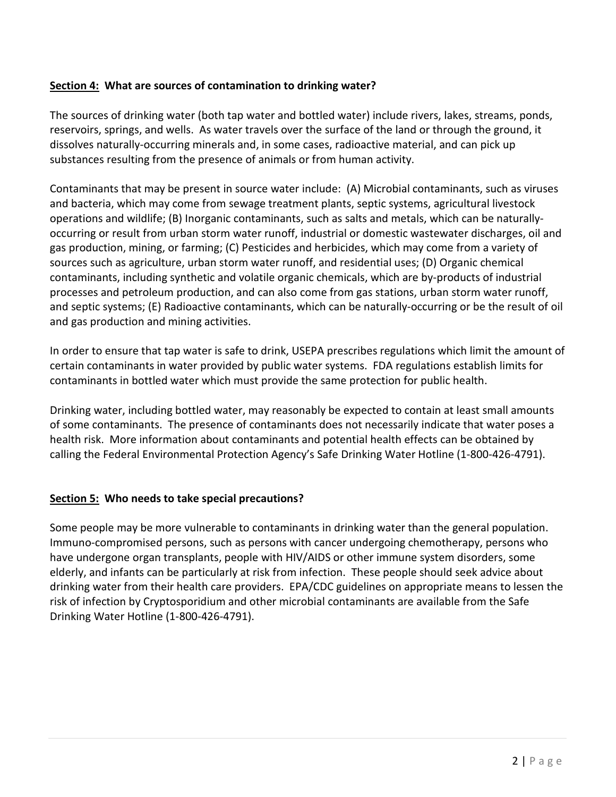## **Section 4: What are sources of contamination to drinking water?**

The sources of drinking water (both tap water and bottled water) include rivers, lakes, streams, ponds, reservoirs, springs, and wells. As water travels over the surface of the land or through the ground, it dissolves naturally-occurring minerals and, in some cases, radioactive material, and can pick up substances resulting from the presence of animals or from human activity.

Contaminants that may be present in source water include: (A) Microbial contaminants, such as viruses and bacteria, which may come from sewage treatment plants, septic systems, agricultural livestock operations and wildlife; (B) Inorganic contaminants, such as salts and metals, which can be naturallyoccurring or result from urban storm water runoff, industrial or domestic wastewater discharges, oil and gas production, mining, or farming; (C) Pesticides and herbicides, which may come from a variety of sources such as agriculture, urban storm water runoff, and residential uses; (D) Organic chemical contaminants, including synthetic and volatile organic chemicals, which are by-products of industrial processes and petroleum production, and can also come from gas stations, urban storm water runoff, and septic systems; (E) Radioactive contaminants, which can be naturally-occurring or be the result of oil and gas production and mining activities.

In order to ensure that tap water is safe to drink, USEPA prescribes regulations which limit the amount of certain contaminants in water provided by public water systems. FDA regulations establish limits for contaminants in bottled water which must provide the same protection for public health.

Drinking water, including bottled water, may reasonably be expected to contain at least small amounts of some contaminants. The presence of contaminants does not necessarily indicate that water poses a health risk. More information about contaminants and potential health effects can be obtained by calling the Federal Environmental Protection Agency's Safe Drinking Water Hotline (1-800-426-4791).

### **Section 5: Who needs to take special precautions?**

Some people may be more vulnerable to contaminants in drinking water than the general population. Immuno-compromised persons, such as persons with cancer undergoing chemotherapy, persons who have undergone organ transplants, people with HIV/AIDS or other immune system disorders, some elderly, and infants can be particularly at risk from infection. These people should seek advice about drinking water from their health care providers. EPA/CDC guidelines on appropriate means to lessen the risk of infection by Cryptosporidium and other microbial contaminants are available from the Safe Drinking Water Hotline (1-800-426-4791).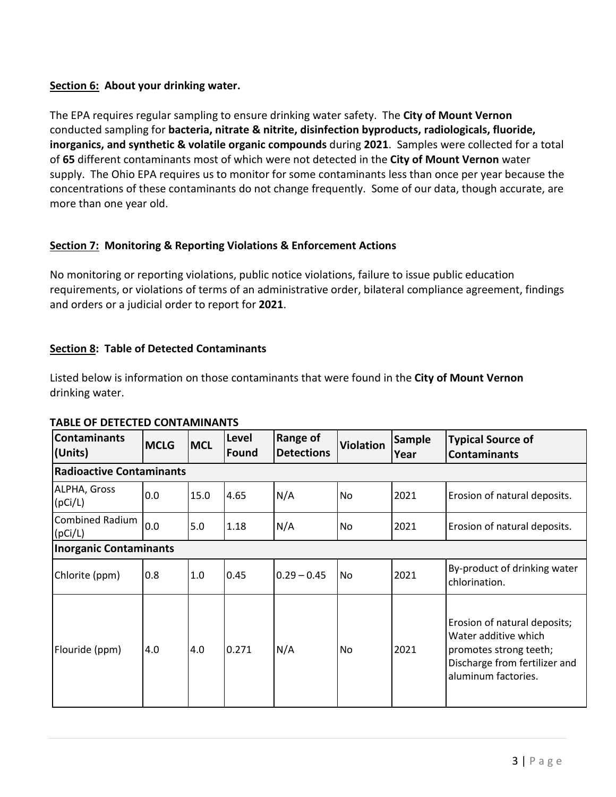## **Section 6: About your drinking water.**

The EPA requires regular sampling to ensure drinking water safety. The **City of Mount Vernon** conducted sampling for **bacteria, nitrate & nitrite, disinfection byproducts, radiologicals, fluoride, inorganics, and synthetic & volatile organic compounds** during **2021**. Samples were collected for a total of **65** different contaminants most of which were not detected in the **City of Mount Vernon** water supply. The Ohio EPA requires us to monitor for some contaminants less than once per year because the concentrations of these contaminants do not change frequently. Some of our data, though accurate, are more than one year old.

# **Section 7: Monitoring & Reporting Violations & Enforcement Actions**

No monitoring or reporting violations, public notice violations, failure to issue public education requirements, or violations of terms of an administrative order, bilateral compliance agreement, findings and orders or a judicial order to report for **2021**.

# **Section 8: Table of Detected Contaminants**

Listed below is information on those contaminants that were found in the **City of Mount Vernon** drinking water.

| Contaminants<br>(Units)         | <b>MCLG</b> | <b>MCL</b> | Level<br>Found | <b>Range of</b><br><b>Detections</b> | <b>Violation</b> | <b>Sample</b><br>Year | <b>Typical Source of</b><br><b>Contaminants</b>                                                                                        |  |  |  |  |  |
|---------------------------------|-------------|------------|----------------|--------------------------------------|------------------|-----------------------|----------------------------------------------------------------------------------------------------------------------------------------|--|--|--|--|--|
| <b>Radioactive Contaminants</b> |             |            |                |                                      |                  |                       |                                                                                                                                        |  |  |  |  |  |
| ALPHA, Gross<br>(pCi/L)         | 0.0         | 15.0       | 4.65           | N/A                                  | No               | 2021                  | Erosion of natural deposits.                                                                                                           |  |  |  |  |  |
| Combined Radium<br>(pCi/L)      | 0.0         | 5.0        | 1.18           | N/A                                  | No               | 2021                  | Erosion of natural deposits.                                                                                                           |  |  |  |  |  |
| Inorganic Contaminants          |             |            |                |                                      |                  |                       |                                                                                                                                        |  |  |  |  |  |
| Chlorite (ppm)                  | 0.8         | 1.0        | 0.45           | $0.29 - 0.45$                        | <b>No</b>        | 2021                  | By-product of drinking water<br>chlorination.                                                                                          |  |  |  |  |  |
| Flouride (ppm)                  | 4.0         | 4.0        | 0.271          | N/A                                  | No               | 2021                  | Erosion of natural deposits;<br>Water additive which<br>promotes strong teeth;<br>Discharge from fertilizer and<br>aluminum factories. |  |  |  |  |  |

## **TABLE OF DETECTED CONTAMINANTS**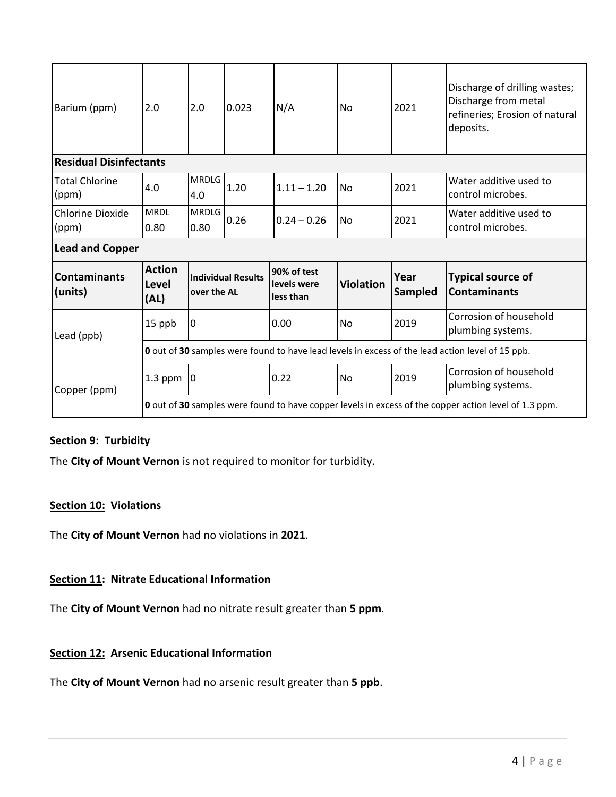| Barium (ppm)                     | 2.0                                                                                                          | 2.0                                      | 0.023 | N/A                                     | No               | 2021            | Discharge of drilling wastes;<br>Discharge from metal<br>refineries; Erosion of natural<br>deposits. |  |  |  |  |
|----------------------------------|--------------------------------------------------------------------------------------------------------------|------------------------------------------|-------|-----------------------------------------|------------------|-----------------|------------------------------------------------------------------------------------------------------|--|--|--|--|
| <b>Residual Disinfectants</b>    |                                                                                                              |                                          |       |                                         |                  |                 |                                                                                                      |  |  |  |  |
| <b>Total Chlorine</b><br>(ppm)   | 4.0                                                                                                          | <b>MRDLG</b><br>4.0                      | 1.20  | $1.11 - 1.20$                           | N <sub>o</sub>   | 2021            | Water additive used to<br>control microbes.                                                          |  |  |  |  |
| <b>Chlorine Dioxide</b><br>(ppm) | <b>MRDL</b><br>0.80                                                                                          | <b>MRDLG</b><br>0.80                     | 0.26  | $0.24 - 0.26$                           | <b>No</b>        | 2021            | Water additive used to<br>control microbes.                                                          |  |  |  |  |
| <b>Lead and Copper</b>           |                                                                                                              |                                          |       |                                         |                  |                 |                                                                                                      |  |  |  |  |
| <b>Contaminants</b><br>(units)   | <b>Action</b><br>Level<br>(AL)                                                                               | <b>Individual Results</b><br>over the AL |       | 90% of test<br>levels were<br>less than | <b>Violation</b> | Year<br>Sampled | <b>Typical source of</b><br><b>Contaminants</b>                                                      |  |  |  |  |
| Lead (ppb)                       | 15 ppb                                                                                                       | 0                                        |       | 0.00                                    | <b>No</b>        | 2019            | Corrosion of household<br>plumbing systems.                                                          |  |  |  |  |
|                                  | <b>0</b> out of 30 samples were found to have lead levels in excess of the lead action level of 15 ppb.      |                                          |       |                                         |                  |                 |                                                                                                      |  |  |  |  |
| Copper (ppm)                     | $1.3$ ppm                                                                                                    | 0                                        |       | 0.22                                    | <b>No</b>        | 2019            | Corrosion of household<br>plumbing systems.                                                          |  |  |  |  |
|                                  | <b>0</b> out of 30 samples were found to have copper levels in excess of the copper action level of 1.3 ppm. |                                          |       |                                         |                  |                 |                                                                                                      |  |  |  |  |

# **Section 9: Turbidity**

The **City of Mount Vernon** is not required to monitor for turbidity.

### **Section 10: Violations**

The **City of Mount Vernon** had no violations in **2021**.

# **Section 11: Nitrate Educational Information**

The **City of Mount Vernon** had no nitrate result greater than **5 ppm**.

### **Section 12: Arsenic Educational Information**

The **City of Mount Vernon** had no arsenic result greater than **5 ppb**.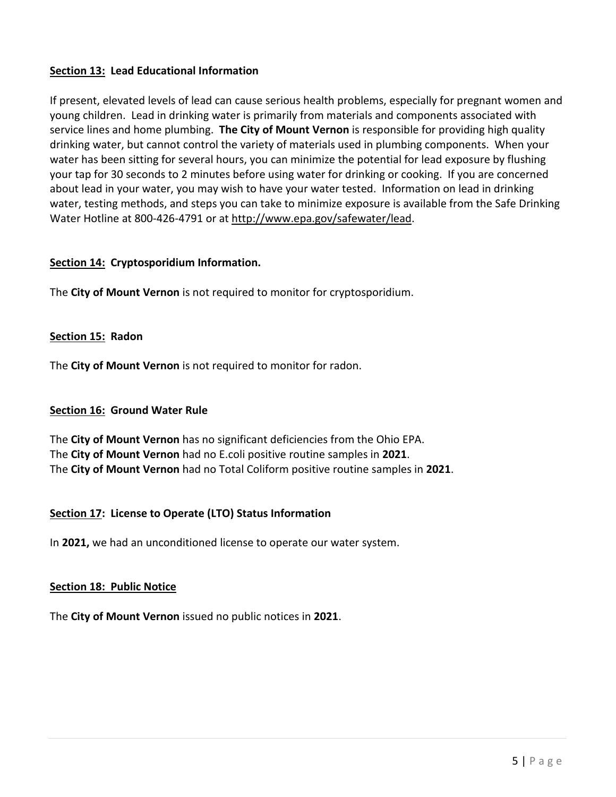## **Section 13: Lead Educational Information**

If present, elevated levels of lead can cause serious health problems, especially for pregnant women and young children. Lead in drinking water is primarily from materials and components associated with service lines and home plumbing. **The City of Mount Vernon** is responsible for providing high quality drinking water, but cannot control the variety of materials used in plumbing components. When your water has been sitting for several hours, you can minimize the potential for lead exposure by flushing your tap for 30 seconds to 2 minutes before using water for drinking or cooking. If you are concerned about lead in your water, you may wish to have your water tested. Information on lead in drinking water, testing methods, and steps you can take to minimize exposure is available from the Safe Drinking Water Hotline at 800-426-4791 or at [http://www.epa.gov/safewater/lead.](http://www.epa.gov/safewater/lead)

### **Section 14: Cryptosporidium Information.**

The **City of Mount Vernon** is not required to monitor for cryptosporidium.

### **Section 15: Radon**

The **City of Mount Vernon** is not required to monitor for radon.

### **Section 16: Ground Water Rule**

The **City of Mount Vernon** has no significant deficiencies from the Ohio EPA. The **City of Mount Vernon** had no E.coli positive routine samples in **2021**. The **City of Mount Vernon** had no Total Coliform positive routine samples in **2021**.

### **Section 17: License to Operate (LTO) Status Information**

In **2021,** we had an unconditioned license to operate our water system.

### **Section 18: Public Notice**

The **City of Mount Vernon** issued no public notices in **2021**.